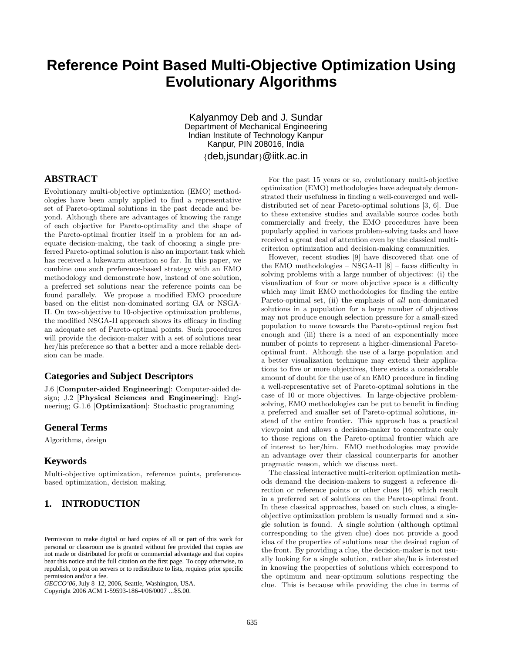# **Reference Point Based Multi-Objective Optimization Using Evolutionary Algorithms**

Kalyanmoy Deb and J. Sundar Department of Mechanical Engineering Indian Institute of Technology Kanpur Kanpur, PIN 208016, India

{deb,jsundar}@iitk.ac.in

# **ABSTRACT**

Evolutionary multi-objective optimization (EMO) methodologies have been amply applied to find a representative set of Pareto-optimal solutions in the past decade and beyond. Although there are advantages of knowing the range of each objective for Pareto-optimality and the shape of the Pareto-optimal frontier itself in a problem for an adequate decision-making, the task of choosing a single preferred Pareto-optimal solution is also an important task which has received a lukewarm attention so far. In this paper, we combine one such preference-based strategy with an EMO methodology and demonstrate how, instead of one solution, a preferred set solutions near the reference points can be found parallely. We propose a modified EMO procedure based on the elitist non-dominated sorting GA or NSGA-II. On two-objective to 10-objective optimization problems, the modified NSGA-II approach shows its efficacy in finding an adequate set of Pareto-optimal points. Such procedures will provide the decision-maker with a set of solutions near her/his preference so that a better and a more reliable decision can be made.

## **Categories and Subject Descriptors**

J.6 [**Computer-aided Engineering**]: Computer-aided design; J.2 [**Physical Sciences and Engineering**]: Engineering; G.1.6 [**Optimization**]: Stochastic programming

## **General Terms**

Algorithms, design

# **Keywords**

Multi-objective optimization, reference points, preferencebased optimization, decision making.

# **1. INTRODUCTION**

Copyright 2006 ACM 1-59593-186-4/06/0007 ...\$5.00.

For the past 15 years or so, evolutionary multi-objective optimization (EMO) methodologies have adequately demonstrated their usefulness in finding a well-converged and welldistributed set of near Pareto-optimal solutions [3, 6]. Due to these extensive studies and available source codes both commercially and freely, the EMO procedures have been popularly applied in various problem-solving tasks and have received a great deal of attention even by the classical multicriterion optimization and decision-making communities.

However, recent studies [9] have discovered that one of the EMO methodologies – NSGA-II [8] – faces difficulty in solving problems with a large number of objectives: (i) the visualization of four or more objective space is a difficulty which may limit EMO methodologies for finding the entire Pareto-optimal set, (ii) the emphasis of *all* non-dominated solutions in a population for a large number of objectives may not produce enough selection pressure for a small-sized population to move towards the Pareto-optimal region fast enough and (iii) there is a need of an exponentially more number of points to represent a higher-dimensional Paretooptimal front. Although the use of a large population and a better visualization technique may extend their applications to five or more objectives, there exists a considerable amount of doubt for the use of an EMO procedure in finding a well-representative set of Pareto-optimal solutions in the case of 10 or more objectives. In large-objective problemsolving, EMO methodologies can be put to benefit in finding a preferred and smaller set of Pareto-optimal solutions, instead of the entire frontier. This approach has a practical viewpoint and allows a decision-maker to concentrate only to those regions on the Pareto-optimal frontier which are of interest to her/him. EMO methodologies may provide an advantage over their classical counterparts for another pragmatic reason, which we discuss next.

The classical interactive multi-criterion optimization methods demand the decision-makers to suggest a reference direction or reference points or other clues [16] which result in a preferred set of solutions on the Pareto-optimal front. In these classical approaches, based on such clues, a singleobjective optimization problem is usually formed and a single solution is found. A single solution (although optimal corresponding to the given clue) does not provide a good idea of the properties of solutions near the desired region of the front. By providing a clue, the decision-maker is not usually looking for a single solution, rather she/he is interested in knowing the properties of solutions which correspond to the optimum and near-optimum solutions respecting the clue. This is because while providing the clue in terms of

Permission to make digital or hard copies of all or part of this work for personal or classroom use is granted without fee provided that copies are not made or distributed for profit or commercial advantage and that copies bear this notice and the full citation on the first page. To copy otherwise, to republish, to post on servers or to redistribute to lists, requires prior specific permission and/or a fee.

*GECCO'06,* July 8–12, 2006, Seattle, Washington, USA.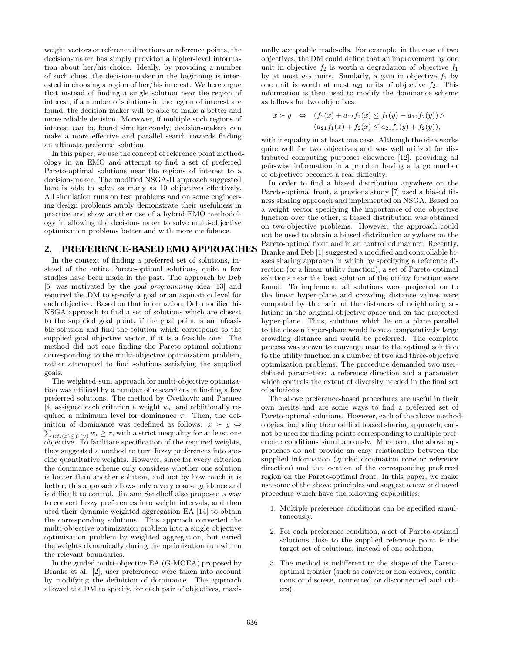weight vectors or reference directions or reference points, the decision-maker has simply provided a higher-level information about her/his choice. Ideally, by providing a number of such clues, the decision-maker in the beginning is interested in choosing a region of her/his interest. We here argue that instead of finding a single solution near the region of interest, if a number of solutions in the region of interest are found, the decision-maker will be able to make a better and more reliable decision. Moreover, if multiple such regions of interest can be found simultaneously, decision-makers can make a more effective and parallel search towards finding an ultimate preferred solution.

In this paper, we use the concept of reference point methodology in an EMO and attempt to find a set of preferred Pareto-optimal solutions near the regions of interest to a decision-maker. The modified NSGA-II approach suggested here is able to solve as many as 10 objectives effectively. All simulation runs on test problems and on some engineering design problems amply demonstrate their usefulness in practice and show another use of a hybrid-EMO methodology in allowing the decision-maker to solve multi-objective optimization problems better and with more confidence.

# **2. PREFERENCE-BASED EMO APPROACHES**

In the context of finding a preferred set of solutions, instead of the entire Pareto-optimal solutions, quite a few studies have been made in the past. The approach by Deb [5] was motivated by the *goal programming* idea [13] and required the DM to specify a goal or an aspiration level for each objective. Based on that information, Deb modified his NSGA approach to find a set of solutions which are closest to the supplied goal point, if the goal point is an infeasible solution and find the solution which correspond to the supplied goal objective vector, if it is a feasible one. The method did not care finding the Pareto-optimal solutions corresponding to the multi-objective optimization problem, rather attempted to find solutions satisfying the supplied goals.

The weighted-sum approach for multi-objective optimization was utilized by a number of researchers in finding a few preferred solutions. The method by Cvetkovic and Parmee [4] assigned each criterion a weight  $w_i$ , and additionally required a minimum level for dominance  $\tau$ . Then, the definition of dominance was redefined as follows:  $x \succ y \Leftrightarrow$ inition of dominance was redefined as follows:  $x \succ y \Leftrightarrow$ <br> $\sum_{i: f_i(x) \leq f_i(y)} w_i \geq \tau$ , with a strict inequality for at least one objective. To facilitate specification of the required weights, they suggested a method to turn fuzzy preferences into specific quantitative weights. However, since for every criterion the dominance scheme only considers whether one solution is better than another solution, and not by how much it is better, this approach allows only a very coarse guidance and is difficult to control. Jin and Sendhoff also proposed a way to convert fuzzy preferences into weight intervals, and then used their dynamic weighted aggregation EA [14] to obtain the corresponding solutions. This approach converted the multi-objective optimization problem into a single objective optimization problem by weighted aggregation, but varied the weights dynamically during the optimization run within the relevant boundaries.

In the guided multi-objective EA (G-MOEA) proposed by Branke et al. [2], user preferences were taken into account by modifying the definition of dominance. The approach allowed the DM to specify, for each pair of objectives, maximally acceptable trade-offs. For example, in the case of two objectives, the DM could define that an improvement by one unit in objective  $f_2$  is worth a degradation of objective  $f_1$ by at most  $a_{12}$  units. Similarly, a gain in objective  $f_1$  by one unit is worth at most  $a_{21}$  units of objective  $f_2$ . This information is then used to modify the dominance scheme as follows for two objectives:

$$
x \succ y \Leftrightarrow (f_1(x) + a_{12}f_2(x) \le f_1(y) + a_{12}f_2(y)) \wedge
$$
  

$$
(a_{21}f_1(x) + f_2(x) \le a_{21}f_1(y) + f_2(y)),
$$

with inequality in at least one case. Although the idea works quite well for two objectives and was well utilized for distributed computing purposes elsewhere [12], providing all pair-wise information in a problem having a large number of objectives becomes a real difficulty.

In order to find a biased distribution anywhere on the Pareto-optimal front, a previous study [7] used a biased fitness sharing approach and implemented on NSGA. Based on a weight vector specifying the importance of one objective function over the other, a biased distribution was obtained on two-objective problems. However, the approach could not be used to obtain a biased distribution anywhere on the Pareto-optimal front and in an controlled manner. Recently, Branke and Deb [1] suggested a modified and controllable biases sharing approach in which by specifying a reference direction (or a linear utility function), a set of Pareto-optimal solutions near the best solution of the utility function were found. To implement, all solutions were projected on to the linear hyper-plane and crowding distance values were computed by the ratio of the distances of neighboring solutions in the original objective space and on the projected hyper-plane. Thus, solutions which lie on a plane parallel to the chosen hyper-plane would have a comparatively large crowding distance and would be preferred. The complete process was shown to converge near to the optimal solution to the utility function in a number of two and three-objective optimization problems. The procedure demanded two userdefined parameters: a reference direction and a parameter which controls the extent of diversity needed in the final set of solutions.

The above preference-based procedures are useful in their own merits and are some ways to find a preferred set of Pareto-optimal solutions. However, each of the above methodologies, including the modified biased sharing approach, cannot be used for finding points corresponding to multiple preference conditions simultaneously. Moreover, the above approaches do not provide an easy relationship between the supplied information (guided domination cone or reference direction) and the location of the corresponding preferred region on the Pareto-optimal front. In this paper, we make use some of the above principles and suggest a new and novel procedure which have the following capabilities:

- 1. Multiple preference conditions can be specified simultaneously.
- 2. For each preference condition, a set of Pareto-optimal solutions close to the supplied reference point is the target set of solutions, instead of one solution.
- 3. The method is indifferent to the shape of the Paretooptimal frontier (such as convex or non-convex, continuous or discrete, connected or disconnected and others).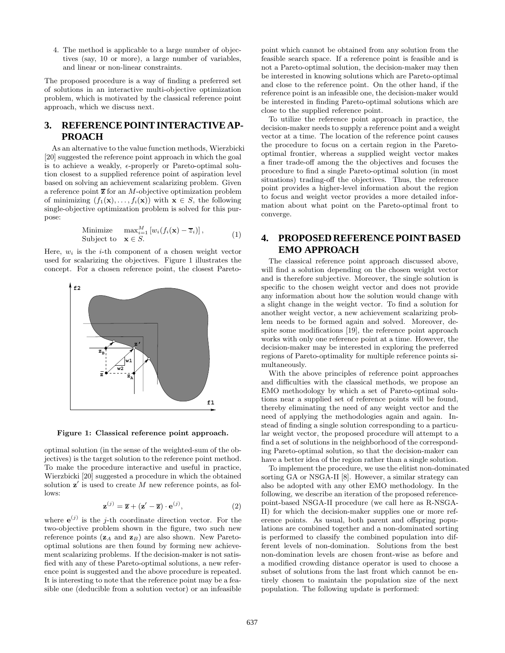4. The method is applicable to a large number of objectives (say, 10 or more), a large number of variables, and linear or non-linear constraints.

The proposed procedure is a way of finding a preferred set of solutions in an interactive multi-objective optimization problem, which is motivated by the classical reference point approach, which we discuss next.

# **3. REFERENCE POINT INTERACTIVE AP-PROACH**

As an alternative to the value function methods, Wierzbicki [20] suggested the reference point approach in which the goal is to achieve a weakly,  $\epsilon$ -properly or Pareto-optimal solution closest to a supplied reference point of aspiration level based on solving an achievement scalarizing problem. Given a reference point **z** for an M-objective optimization problem of minimizing  $(f_1(\mathbf{x}),...,f_i(\mathbf{x}))$  with  $\mathbf{x} \in S$ , the following single-objective optimization problem is solved for this purpose:

Minimize 
$$
\max_{i=1}^{M} [w_i(f_i(\mathbf{x}) - \overline{z}_i)],
$$
  
Subject to  $\mathbf{x} \in S.$  (1)

Here,  $w_i$  is the *i*-th component of a chosen weight vector used for scalarizing the objectives. Figure 1 illustrates the concept. For a chosen reference point, the closest Pareto-



**Figure 1: Classical reference point approach.**

optimal solution (in the sense of the weighted-sum of the objectives) is the target solution to the reference point method. To make the procedure interactive and useful in practice, Wierzbicki [20] suggested a procedure in which the obtained solution  $z'$  is used to create M new reference points, as follows:

$$
\mathbf{z}^{(j)} = \overline{\mathbf{z}} + (\mathbf{z}' - \overline{\mathbf{z}}) \cdot \mathbf{e}^{(j)},\tag{2}
$$

where  $e^{(j)}$  is the *j*-th coordinate direction vector. For the two-objective problem shown in the figure, two such new reference points  $(\mathbf{z}_A \text{ and } \mathbf{z}_B)$  are also shown. New Paretooptimal solutions are then found by forming new achievement scalarizing problems. If the decision-maker is not satisfied with any of these Pareto-optimal solutions, a new reference point is suggested and the above procedure is repeated. It is interesting to note that the reference point may be a feasible one (deducible from a solution vector) or an infeasible point which cannot be obtained from any solution from the feasible search space. If a reference point is feasible and is not a Pareto-optimal solution, the decision-maker may then be interested in knowing solutions which are Pareto-optimal and close to the reference point. On the other hand, if the reference point is an infeasible one, the decision-maker would be interested in finding Pareto-optimal solutions which are close to the supplied reference point.

To utilize the reference point approach in practice, the decision-maker needs to supply a reference point and a weight vector at a time. The location of the reference point causes the procedure to focus on a certain region in the Paretooptimal frontier, whereas a supplied weight vector makes a finer trade-off among the the objectives and focuses the procedure to find a single Pareto-optimal solution (in most situations) trading-off the objectives. Thus, the reference point provides a higher-level information about the region to focus and weight vector provides a more detailed information about what point on the Pareto-optimal front to converge.

# **4. PROPOSED REFERENCE POINT BASED EMO APPROACH**

The classical reference point approach discussed above, will find a solution depending on the chosen weight vector and is therefore subjective. Moreover, the single solution is specific to the chosen weight vector and does not provide any information about how the solution would change with a slight change in the weight vector. To find a solution for another weight vector, a new achievement scalarizing problem needs to be formed again and solved. Moreover, despite some modifications [19], the reference point approach works with only one reference point at a time. However, the decision-maker may be interested in exploring the preferred regions of Pareto-optimality for multiple reference points simultaneously.

With the above principles of reference point approaches and difficulties with the classical methods, we propose an EMO methodology by which a set of Pareto-optimal solutions near a supplied set of reference points will be found, thereby eliminating the need of any weight vector and the need of applying the methodologies again and again. Instead of finding a single solution corresponding to a particular weight vector, the proposed procedure will attempt to a find a set of solutions in the neighborhood of the corresponding Pareto-optimal solution, so that the decision-maker can have a better idea of the region rather than a single solution.

To implement the procedure, we use the elitist non-dominated sorting GA or NSGA-II [8]. However, a similar strategy can also be adopted with any other EMO methodology. In the following, we describe an iteration of the proposed referencepoint-based NSGA-II procedure (we call here as R-NSGA-II) for which the decision-maker supplies one or more reference points. As usual, both parent and offspring populations are combined together and a non-dominated sorting is performed to classify the combined population into different levels of non-domination. Solutions from the best non-domination levels are chosen front-wise as before and a modified crowding distance operator is used to choose a subset of solutions from the last front which cannot be entirely chosen to maintain the population size of the next population. The following update is performed: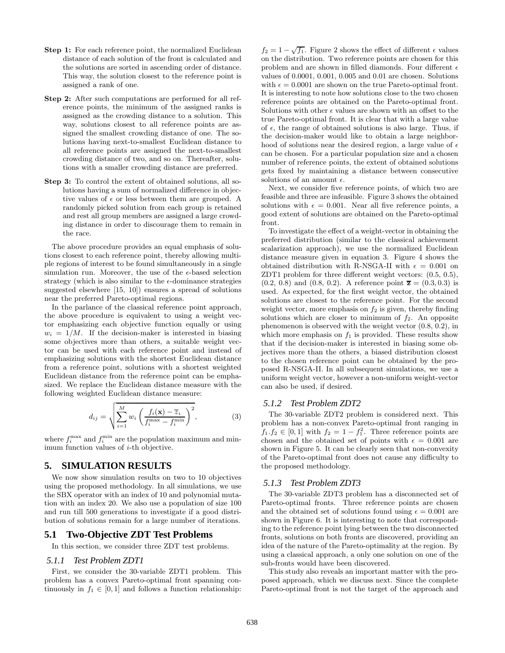- **Step 1:** For each reference point, the normalized Euclidean distance of each solution of the front is calculated and the solutions are sorted in ascending order of distance. This way, the solution closest to the reference point is assigned a rank of one.
- **Step 2:** After such computations are performed for all reference points, the minimum of the assigned ranks is assigned as the crowding distance to a solution. This way, solutions closest to all reference points are assigned the smallest crowding distance of one. The solutions having next-to-smallest Euclidean distance to all reference points are assigned the next-to-smallest crowding distance of two, and so on. Thereafter, solutions with a smaller crowding distance are preferred.
- **Step 3:** To control the extent of obtained solutions, all solutions having a sum of normalized difference in objective values of  $\epsilon$  or less between them are grouped. A randomly picked solution from each group is retained and rest all group members are assigned a large crowding distance in order to discourage them to remain in the race.

The above procedure provides an equal emphasis of solutions closest to each reference point, thereby allowing multiple regions of interest to be found simultaneously in a single simulation run. Moreover, the use of the  $\epsilon$ -based selection strategy (which is also similar to the  $\epsilon$ -dominance strategies suggested elsewhere [15, 10]) ensures a spread of solutions near the preferred Pareto-optimal regions.

In the parlance of the classical reference point approach, the above procedure is equivalent to using a weight vector emphasizing each objective function equally or using  $w_i = 1/M$ . If the decision-maker is interested in biasing some objectives more than others, a suitable weight vector can be used with each reference point and instead of emphasizing solutions with the shortest Euclidean distance from a reference point, solutions with a shortest weighted Euclidean distance from the reference point can be emphasized. We replace the Euclidean distance measure with the following weighted Euclidean distance measure:

$$
d_{ij} = \sqrt{\sum_{i=1}^{M} w_i \left( \frac{f_i(\mathbf{x}) - \overline{z}_i}{f_i^{\max} - f_i^{\min}} \right)^2},
$$
\n(3)

where  $f_i^{\text{max}}$  and  $f_i^{\text{min}}$  are the population maximum and minimum function values of i-th objective.

# **5. SIMULATION RESULTS**

We now show simulation results on two to 10 objectives using the proposed methodology. In all simulations, we use the SBX operator with an index of 10 and polynomial mutation with an index 20. We also use a population of size 100 and run till 500 generations to investigate if a good distribution of solutions remain for a large number of iterations.

# **5.1 Two-Objective ZDT Test Problems**

In this section, we consider three ZDT test problems.

#### *5.1.1 Test Problem ZDT1*

First, we consider the 30-variable ZDT1 problem. This problem has a convex Pareto-optimal front spanning continuously in  $f_1 \in [0,1]$  and follows a function relationship:  $f_2 = 1 - \sqrt{f_1}$ . Figure 2 shows the effect of different  $\epsilon$  values on the distribution. Two reference points are chosen for this problem and are shown in filled diamonds. Four different  $\epsilon$ values of 0.0001, 0.001, 0.005 and 0.01 are chosen. Solutions with  $\epsilon = 0.0001$  are shown on the true Pareto-optimal front. It is interesting to note how solutions close to the two chosen reference points are obtained on the Pareto-optimal front. Solutions with other  $\epsilon$  values are shown with an offset to the true Pareto-optimal front. It is clear that with a large value of  $\epsilon$ , the range of obtained solutions is also large. Thus, if the decision-maker would like to obtain a large neighborhood of solutions near the desired region, a large value of  $\epsilon$ can be chosen. For a particular population size and a chosen number of reference points, the extent of obtained solutions gets fixed by maintaining a distance between consecutive solutions of an amount  $\epsilon$ .

Next, we consider five reference points, of which two are feasible and three are infeasible. Figure 3 shows the obtained solutions with  $\epsilon = 0.001$ . Near all five reference points, a good extent of solutions are obtained on the Pareto-optimal front.

To investigate the effect of a weight-vector in obtaining the preferred distribution (similar to the classical achievement scalarization approach), we use the normalized Euclidean distance measure given in equation 3. Figure 4 shows the obtained distribution with R-NSGA-II with  $\epsilon = 0.001$  on ZDT1 problem for three different weight vectors: (0.5, 0.5),  $(0.2, 0.8)$  and  $(0.8, 0.2)$ . A reference point  $\overline{z} = (0.3, 0.3)$  is used. As expected, for the first weight vector, the obtained solutions are closest to the reference point. For the second weight vector, more emphasis on  $f_2$  is given, thereby finding solutions which are closer to minimum of  $f_2$ . An opposite phenomenon is observed with the weight vector (0.8, 0.2), in which more emphasis on  $f_1$  is provided. These results show that if the decision-maker is interested in biasing some objectives more than the others, a biased distribution closest to the chosen reference point can be obtained by the proposed R-NSGA-II. In all subsequent simulations, we use a uniform weight vector, however a non-uniform weight-vector can also be used, if desired.

#### *5.1.2 Test Problem ZDT2*

The 30-variable ZDT2 problem is considered next. This problem has a non-convex Pareto-optimal front ranging in  $f_1.f_2 \in [0,1]$  with  $f_2 = 1 - f_1^2$ . Three reference points are chosen and the obtained set of points with  $\epsilon = 0.001$  are shown in Figure 5. It can be clearly seen that non-convexity of the Pareto-optimal front does not cause any difficulty to the proposed methodology.

#### *5.1.3 Test Problem ZDT3*

The 30-variable ZDT3 problem has a disconnected set of Pareto-optimal fronts. Three reference points are chosen and the obtained set of solutions found using  $\epsilon = 0.001$  are shown in Figure 6. It is interesting to note that corresponding to the reference point lying between the two disconnected fronts, solutions on both fronts are discovered, providing an idea of the nature of the Pareto-optimality at the region. By using a classical approach, a only one solution on one of the sub-fronts would have been discovered.

This study also reveals an important matter with the proposed approach, which we discuss next. Since the complete Pareto-optimal front is not the target of the approach and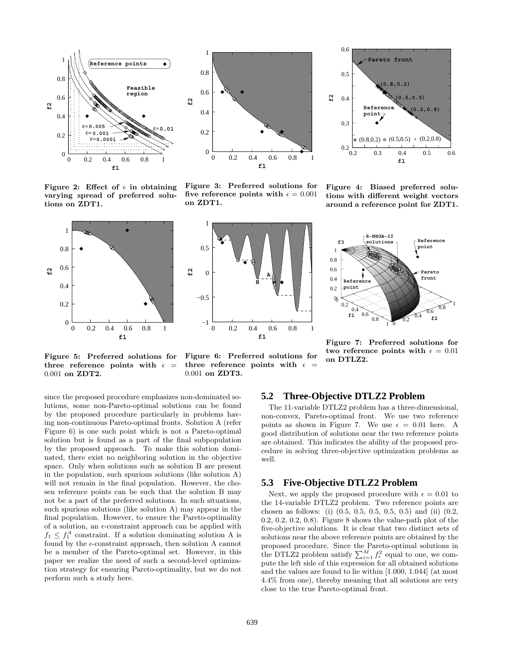



**Figure 2:** Effect of  $\epsilon$  in obtaining **varying spread of preferred solutions on ZDT1.**



**Figure 5: Preferred solutions for** three reference points with  $\epsilon$  = 0.001 **on ZDT2.**

**Figure 3: Preferred solutions for** five reference points with  $\epsilon = 0.001$ **on ZDT1.**





**Figure 4: Biased preferred solutions with different weight vectors around a reference point for ZDT1.**



**Figure 7: Preferred solutions for two reference points with**  $\epsilon = 0.01$ **on DTLZ2.**

three reference points with  $\epsilon$ 0.001 **on ZDT3.**

**Figure 6: Preferred solutions for**

since the proposed procedure emphasizes non-dominated solutions, some non-Pareto-optimal solutions can be found by the proposed procedure particularly in problems having non-continuous Pareto-optimal fronts. Solution A (refer Figure 6) is one such point which is not a Pareto-optimal solution but is found as a part of the final subpopulation by the proposed approach. To make this solution dominated, there exist no neighboring solution in the objective space. Only when solutions such as solution B are present in the population, such spurious solutions (like solution A) will not remain in the final population. However, the chosen reference points can be such that the solution B may not be a part of the preferred solutions. In such situations, such spurious solutions (like solution A) may appear in the final population. However, to ensure the Pareto-optimality of a solution, an  $\epsilon$ -constraint approach can be applied with  $f_1 \n\t\leq f_1^A$  constraint. If a solution dominating solution A is found by the  $\epsilon$ -constraint approach, then solution A cannot be a member of the Pareto-optimal set. However, in this paper we realize the need of such a second-level optimization strategy for ensuring Pareto-optimality, but we do not perform such a study here.

# **5.2 Three-Objective DTLZ2 Problem**

The 11-variable DTLZ2 problem has a three-dimensional, non-convex, Pareto-optimal front. We use two reference points as shown in Figure 7. We use  $\epsilon = 0.01$  here. A good distribution of solutions near the two reference points are obtained. This indicates the ability of the proposed procedure in solving three-objective optimization problems as well.

## **5.3 Five-Objective DTLZ2 Problem**

Next, we apply the proposed procedure with  $\epsilon = 0.01$  to the 14-variable DTLZ2 problem. Two reference points are chosen as follows: (i) (0.5, 0.5, 0.5, 0.5, 0.5) and (ii) (0.2, 0.2, 0.2, 0.2, 0.8). Figure 8 shows the value-path plot of the five-objective solutions. It is clear that two distinct sets of solutions near the above reference points are obtained by the proposed procedure. Since the Pareto-optimal solutions in the DTLZ2 problem satisfy  $\sum_{i=1}^{M} f_i^2$  equal to one, we compute the left side of this expression for all obtained solutions and the values are found to lie within [1.000, 1.044] (at most 4.4% from one), thereby meaning that all solutions are very close to the true Pareto-optimal front.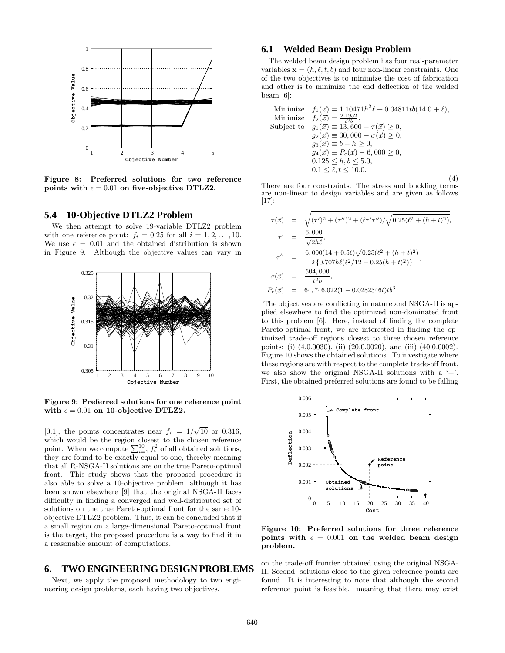

**Figure 8: Preferred solutions for two reference points with**  $\epsilon = 0.01$  on five-objective DTLZ2.

#### **5.4 10-Objective DTLZ2 Problem**

We then attempt to solve 19-variable DTLZ2 problem with one reference point:  $f_i = 0.25$  for all  $i = 1, 2, ..., 10$ . We use  $\epsilon = 0.01$  and the obtained distribution is shown in Figure 9. Although the objective values can vary in



**Figure 9: Preferred solutions for one reference point** with  $\epsilon = 0.01$  on 10-objective DTLZ2.

[0,1], the points concentrates near  $f_i = 1/\sqrt{10}$  or 0.316, which would be the region closest to the chosen reference point. When we compute  $\sum_{i=1}^{10} f_i^2$  of all obtained solutions, they are found to be exactly equal to one, thereby meaning that all R-NSGA-II solutions are on the true Pareto-optimal front. This study shows that the proposed procedure is also able to solve a 10-objective problem, although it has been shown elsewhere [9] that the original NSGA-II faces difficulty in finding a converged and well-distributed set of solutions on the true Pareto-optimal front for the same 10 objective DTLZ2 problem. Thus, it can be concluded that if a small region on a large-dimensional Pareto-optimal front is the target, the proposed procedure is a way to find it in a reasonable amount of computations.

# **6. TWO ENGINEERING DESIGN PROBLEMS**

Next, we apply the proposed methodology to two engineering design problems, each having two objectives.

# **6.1 Welded Beam Design Problem**

The welded beam design problem has four real-parameter variables  $\mathbf{x} = (h, \ell, t, b)$  and four non-linear constraints. One of the two objectives is to minimize the cost of fabrication and other is to minimize the end deflection of the welded beam [6]:

Minimize  $f_1(\vec{x})=1.10471h^2 \ell + 0.04811tb(14.0 + \ell),$ Minimize  $f_2(\vec{x}) = \frac{2.1952}{t^3 b}$ , Subject to  $g_1(\vec{x}) \equiv 13,600 - \tau(\vec{x}) \geq 0$ ,  $g_2(\vec{x}) \equiv 30,000 - \sigma(\vec{x}) \ge 0,$  $g_3(\vec{x}) \equiv b - h \geq 0$ ,  $g_4(\vec{x}) \equiv P_c(\vec{x}) - 6,000 \geq 0,$  $0.125 \leq h, b \leq 5.0$  $0.1 \leq \ell, t \leq 10.0$ . (4)

There are four constraints. The stress and buckling terms are non-linear to design variables and are given as follows [17]:

$$
\tau(\vec{x}) = \sqrt{(\tau')^2 + (\tau'')^2 + (\ell \tau' \tau'') / \sqrt{0.25(\ell^2 + (h+t)^2)}},
$$
  
\n
$$
\tau' = \frac{6,000}{\sqrt{2h\ell}},
$$
  
\n
$$
\tau'' = \frac{6,000(14+0.5\ell)\sqrt{0.25(\ell^2 + (h+t)^2)}}{2\{0.707h\ell(\ell^2/12 + 0.25(h+t)^2)\}},
$$
  
\n
$$
\sigma(\vec{x}) = \frac{504,000}{t^2b},
$$
  
\n
$$
P_c(\vec{x}) = 64,746.022(1-0.0282346t)tb^3.
$$

The objectives are conflicting in nature and NSGA-II is applied elsewhere to find the optimized non-dominated front to this problem [6]. Here, instead of finding the complete Pareto-optimal front, we are interested in finding the optimized trade-off regions closest to three chosen reference points: (i) (4,0.0030), (ii) (20,0.0020), and (iii) (40,0.0002). Figure 10 shows the obtained solutions. To investigate where these regions are with respect to the complete trade-off front, we also show the original NSGA-II solutions with a  $+$ . First, the obtained preferred solutions are found to be falling



**Figure 10: Preferred solutions for three reference** points with  $\epsilon = 0.001$  on the welded beam design **problem.**

on the trade-off frontier obtained using the original NSGA-II. Second, solutions close to the given reference points are found. It is interesting to note that although the second reference point is feasible. meaning that there may exist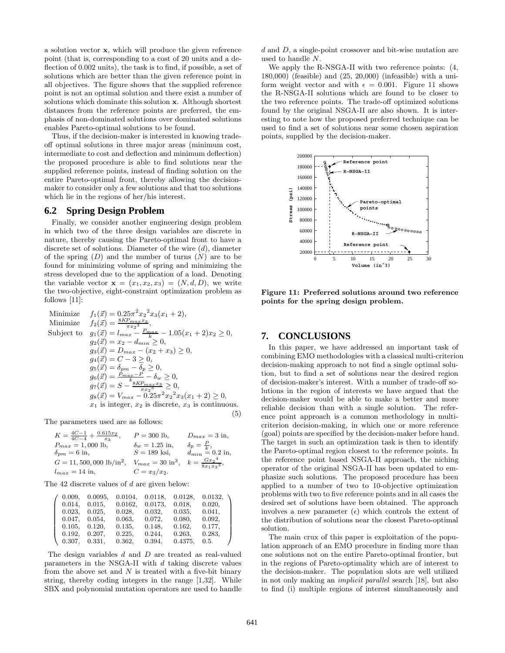a solution vector **x**, which will produce the given reference point (that is, corresponding to a cost of 20 units and a deflection of 0.002 units), the task is to find, if possible, a set of solutions which are better than the given reference point in all objectives. The figure shows that the supplied reference point is not an optimal solution and there exist a number of solutions which dominate this solution **x**. Although shortest distances from the reference points are preferred, the emphasis of non-dominated solutions over dominated solutions enables Pareto-optimal solutions to be found.

Thus, if the decision-maker is interested in knowing tradeoff optimal solutions in three major areas (minimum cost, intermediate to cost and deflection and minimum deflection) the proposed procedure is able to find solutions near the supplied reference points, instead of finding solution on the entire Pareto-optimal front, thereby allowing the decisionmaker to consider only a few solutions and that too solutions which lie in the regions of her/his interest.

#### **6.2 Spring Design Problem**

Finally, we consider another engineering design problem in which two of the three design variables are discrete in nature, thereby causing the Pareto-optimal front to have a discrete set of solutions. Diameter of the wire  $(d)$ , diameter of the spring  $(D)$  and the number of turns  $(N)$  are to be found for minimizing volume of spring and minimizing the stress developed due to the application of a load. Denoting the variable vector  $\mathbf{x} = (x_1, x_2, x_3) = (N, d, D)$ , we write the two-objective, eight-constraint optimization problem as follows [11]:

Minimize 
$$
f_1(\vec{x}) = 0.25\pi^2 x_2^2 x_3(x_1 + 2),
$$
  
\nMinimize  $f_2(\vec{x}) = \frac{8KP_{max}x_3}{\pi x_2^3},$   
\nSubject to  $g_1(\vec{x}) = l_{max} - \frac{P_{max}}{k} - 1.05(x_1 + 2)x_2 \ge 0,$   
\n $g_2(\vec{x}) = x_2 - d_{min} \ge 0,$   
\n $g_3(\vec{x}) = D_{max} - (x_2 + x_3) \ge 0,$   
\n $g_4(\vec{x}) = C - 3 \ge 0,$   
\n $g_5(\vec{x}) = \delta_{pm} - \delta_p \ge 0,$   
\n $g_6(\vec{x}) = \frac{P_{max} - P}{k} - \delta_w \ge 0,$   
\n $g_7(\vec{x}) = S - \frac{8KP_{max}x_3}{\pi x_2^3} \ge 0,$   
\n $g_8(\vec{x}) = V_{max} - 0.25\pi^2 x_2^2 x_3(x_1 + 2) \ge 0,$   
\n $x_1$  is integer,  $x_2$  is discrete,  $x_3$  is continuous. (5)

The parameters used are as follows:

$$
K = \frac{4C-1}{4C-4} + \frac{0.615x_2}{x_3}, \qquad P = 300 \text{ lb}, \qquad D_{max} = 3 \text{ in},
$$
  
\n
$$
P_{max} = 1,000 \text{ lb}, \qquad \delta_w = 1.25 \text{ in}, \qquad \delta_p = \frac{P}{k},
$$
  
\n
$$
\delta_{pm} = 6 \text{ in}, \qquad S = 189 \text{ ksi}, \qquad d_{min} = 0.2 \text{ in},
$$
  
\n
$$
G = 11,500,000 \text{ lb/in}^2, \qquad V_{max} = 30 \text{ in}^3, \qquad k = \frac{Gx_2^4}{8x_1x_3^3},
$$
  
\n
$$
l_{max} = 14 \text{ in}, \qquad C = x_3/x_2.
$$

The 42 discrete values of d are given below:

| 0.009, | 0.0095, | 0.0104.   | 0.0118. | 0.0128, | 0.0132, |
|--------|---------|-----------|---------|---------|---------|
| 0.014, | 0.015.  | 0.0162,   | 0.0173, | 0.018,  | 0.020,  |
| 0.023. | 0.025.  | 0.028.    | 0.032.  | 0.035,  | 0.041,  |
| 0.047, | 0.054.  | $0.063$ , | 0.072,  | 0.080,  | 0.092,  |
| 0.105, | 0.120.  | 0.135,    | 0.148,  | 0.162,  | 0.177,  |
| 0.192, | 0.207.  | 0.225,    | 0.244,  | 0.263,  | 0.283,  |
| 0.307, | 0.331,  | 0.362,    | 0.394,  | 0.4375, | 0.5.    |

The design variables d and D are treated as real-valued parameters in the NSGA-II with  $d$  taking discrete values from the above set and  $N$  is treated with a five-bit binary string, thereby coding integers in the range [1,32]. While SBX and polynomial mutation operators are used to handle d and D, a single-point crossover and bit-wise mutation are used to handle N.

We apply the R-NSGA-II with two reference points: (4, 180,000) (feasible) and (25, 20,000) (infeasible) with a uniform weight vector and with  $\epsilon = 0.001$ . Figure 11 shows the R-NSGA-II solutions which are found to be closer to the two reference points. The trade-off optimized solutions found by the original NSGA-II are also shown. It is interesting to note how the proposed preferred technique can be used to find a set of solutions near some chosen aspiration points, supplied by the decision-maker.



**Figure 11: Preferred solutions around two reference points for the spring design problem.**

# **7. CONCLUSIONS**

In this paper, we have addressed an important task of combining EMO methodologies with a classical multi-criterion decision-making approach to not find a single optimal solution, but to find a set of solutions near the desired region of decision-maker's interest. With a number of trade-off solutions in the region of interests we have argued that the decision-maker would be able to make a better and more reliable decision than with a single solution. The reference point approach is a common methodology in multicriterion decision-making, in which one or more reference (goal) points are specified by the decision-maker before hand. The target in such an optimization task is then to identify the Pareto-optimal region closest to the reference points. In the reference point based NSGA-II approach, the niching operator of the original NSGA-II has been updated to emphasize such solutions. The proposed procedure has been applied to a number of two to 10-objective optimization problems with two to five reference points and in all cases the desired set of solutions have been obtained. The approach involves a new parameter  $(\epsilon)$  which controls the extent of the distribution of solutions near the closest Pareto-optimal solution.

The main crux of this paper is exploitation of the population approach of an EMO procedure in finding more than one solutions not on the entire Pareto-optimal frontier, but in the regions of Pareto-optimality which are of interest to the decision-maker. The population slots are well utilized in not only making an *implicit parallel* search [18], but also to find (i) multiple regions of interest simultaneously and

 $\setminus$ 

 $\begin{array}{c} \hline \end{array}$